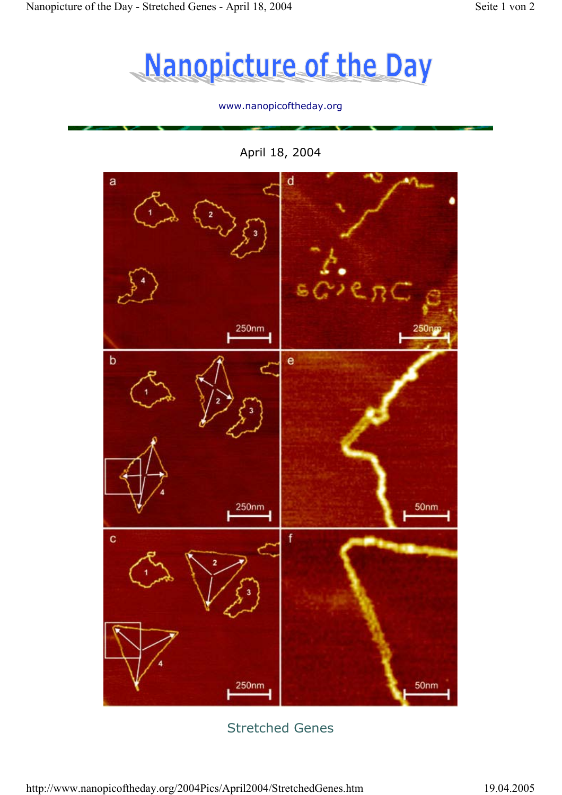

#### www.nanopicoftheday.org

April 18, 2004



# Stretched Genes